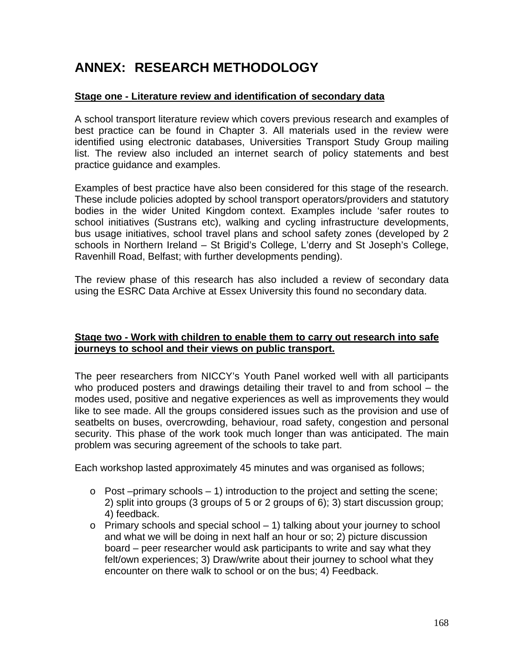# **ANNEX: RESEARCH METHODOLOGY**

# **Stage one - Literature review and identification of secondary data**

A school transport literature review which covers previous research and examples of best practice can be found in Chapter 3. All materials used in the review were identified using electronic databases, Universities Transport Study Group mailing list. The review also included an internet search of policy statements and best practice guidance and examples.

Examples of best practice have also been considered for this stage of the research. These include policies adopted by school transport operators/providers and statutory bodies in the wider United Kingdom context. Examples include 'safer routes to school initiatives (Sustrans etc), walking and cycling infrastructure developments, bus usage initiatives, school travel plans and school safety zones (developed by 2 schools in Northern Ireland – St Brigid's College, L'derry and St Joseph's College, Ravenhill Road, Belfast; with further developments pending).

The review phase of this research has also included a review of secondary data using the ESRC Data Archive at Essex University this found no secondary data.

# **Stage two - Work with children to enable them to carry out research into safe journeys to school and their views on public transport.**

The peer researchers from NICCY's Youth Panel worked well with all participants who produced posters and drawings detailing their travel to and from school – the modes used, positive and negative experiences as well as improvements they would like to see made. All the groups considered issues such as the provision and use of seatbelts on buses, overcrowding, behaviour, road safety, congestion and personal security. This phase of the work took much longer than was anticipated. The main problem was securing agreement of the schools to take part.

Each workshop lasted approximately 45 minutes and was organised as follows;

- $\circ$  Post –primary schools 1) introduction to the project and setting the scene; 2) split into groups (3 groups of 5 or 2 groups of 6); 3) start discussion group; 4) feedback.
- $\circ$  Primary schools and special school 1) talking about your journey to school and what we will be doing in next half an hour or so; 2) picture discussion board – peer researcher would ask participants to write and say what they felt/own experiences; 3) Draw/write about their journey to school what they encounter on there walk to school or on the bus; 4) Feedback.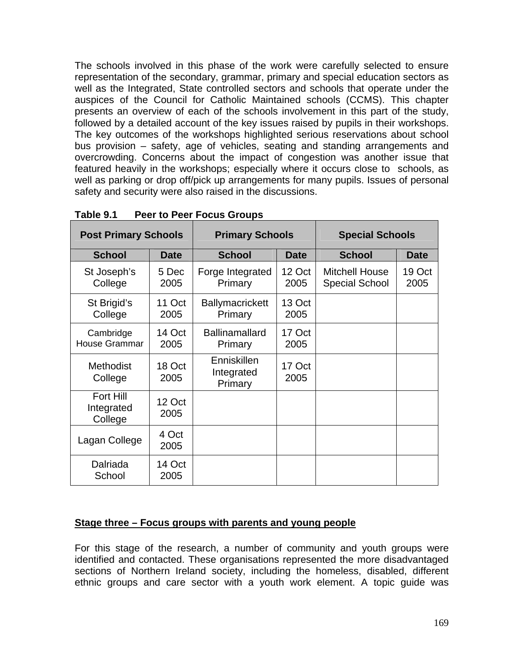The schools involved in this phase of the work were carefully selected to ensure representation of the secondary, grammar, primary and special education sectors as well as the Integrated, State controlled sectors and schools that operate under the auspices of the Council for Catholic Maintained schools (CCMS). This chapter presents an overview of each of the schools involvement in this part of the study, followed by a detailed account of the key issues raised by pupils in their workshops. The key outcomes of the workshops highlighted serious reservations about school bus provision – safety, age of vehicles, seating and standing arrangements and overcrowding. Concerns about the impact of congestion was another issue that featured heavily in the workshops; especially where it occurs close to schools, as well as parking or drop off/pick up arrangements for many pupils. Issues of personal safety and security were also raised in the discussions.

|                                    | <b>Post Primary Schools</b><br><b>Primary Schools</b> |                                      | <b>Special Schools</b> |                                                |                |
|------------------------------------|-------------------------------------------------------|--------------------------------------|------------------------|------------------------------------------------|----------------|
| <b>School</b>                      | <b>Date</b>                                           | <b>School</b>                        | <b>Date</b>            | <b>School</b>                                  | <b>Date</b>    |
| St Joseph's<br>College             | 5 Dec<br>2005                                         | Forge Integrated<br>Primary          | 12 Oct<br>2005         | <b>Mitchell House</b><br><b>Special School</b> | 19 Oct<br>2005 |
| St Brigid's<br>College             | 11 Oct<br>2005                                        | <b>Ballymacrickett</b><br>Primary    | 13 Oct<br>2005         |                                                |                |
| Cambridge<br><b>House Grammar</b>  | 14 Oct<br>2005                                        | <b>Ballinamallard</b><br>Primary     | 17 Oct<br>2005         |                                                |                |
| <b>Methodist</b><br>College        | 18 Oct<br>2005                                        | Enniskillen<br>Integrated<br>Primary | 17 Oct<br>2005         |                                                |                |
| Fort Hill<br>Integrated<br>College | 12 Oct<br>2005                                        |                                      |                        |                                                |                |
| Lagan College                      | 4 Oct<br>2005                                         |                                      |                        |                                                |                |
| Dalriada<br>School                 | 14 Oct<br>2005                                        |                                      |                        |                                                |                |

| Table 9.1 | <b>Peer to Peer Focus Groups</b> |
|-----------|----------------------------------|
|-----------|----------------------------------|

#### **Stage three – Focus groups with parents and young people**

For this stage of the research, a number of community and youth groups were identified and contacted. These organisations represented the more disadvantaged sections of Northern Ireland society, including the homeless, disabled, different ethnic groups and care sector with a youth work element. A topic guide was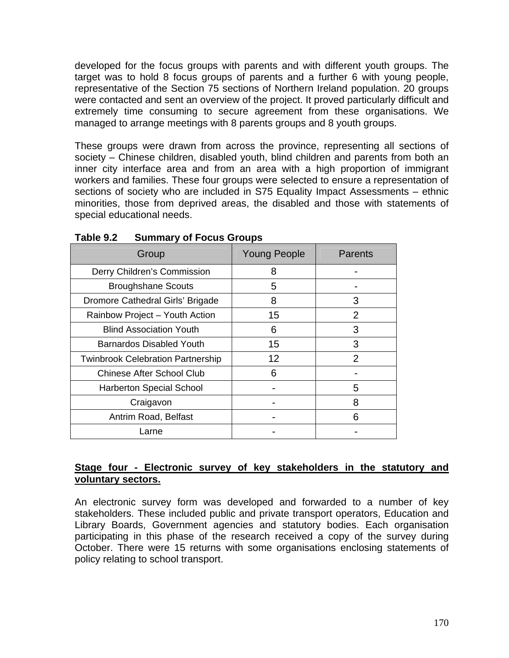developed for the focus groups with parents and with different youth groups. The target was to hold 8 focus groups of parents and a further 6 with young people, representative of the Section 75 sections of Northern Ireland population. 20 groups were contacted and sent an overview of the project. It proved particularly difficult and extremely time consuming to secure agreement from these organisations. We managed to arrange meetings with 8 parents groups and 8 youth groups.

These groups were drawn from across the province, representing all sections of society – Chinese children, disabled youth, blind children and parents from both an inner city interface area and from an area with a high proportion of immigrant workers and families. These four groups were selected to ensure a representation of sections of society who are included in S75 Equality Impact Assessments – ethnic minorities, those from deprived areas, the disabled and those with statements of special educational needs.

| Group                                    | <b>Young People</b> | Parents |
|------------------------------------------|---------------------|---------|
| Derry Children's Commission              | 8                   |         |
| <b>Broughshane Scouts</b>                | 5                   |         |
| Dromore Cathedral Girls' Brigade         | 8                   | 3       |
| Rainbow Project - Youth Action           | 15                  | 2       |
| <b>Blind Association Youth</b>           | 6                   | 3       |
| <b>Barnardos Disabled Youth</b>          | 15                  | 3       |
| <b>Twinbrook Celebration Partnership</b> | 12                  | 2       |
| Chinese After School Club                | 6                   |         |
| <b>Harberton Special School</b>          |                     | 5       |
| Craigavon                                |                     | 8       |
| Antrim Road, Belfast                     |                     | 6       |
| Larne                                    |                     |         |

**Table 9.2 Summary of Focus Groups** 

#### **Stage four - Electronic survey of key stakeholders in the statutory and voluntary sectors.**

An electronic survey form was developed and forwarded to a number of key stakeholders. These included public and private transport operators, Education and Library Boards, Government agencies and statutory bodies. Each organisation participating in this phase of the research received a copy of the survey during October. There were 15 returns with some organisations enclosing statements of policy relating to school transport.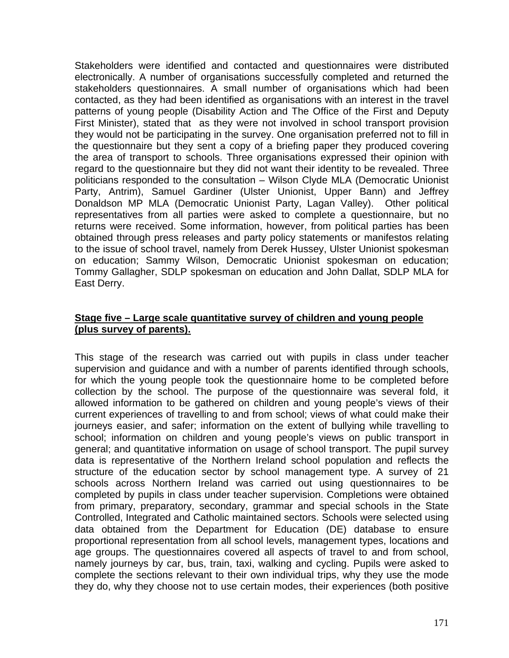Stakeholders were identified and contacted and questionnaires were distributed electronically. A number of organisations successfully completed and returned the stakeholders questionnaires. A small number of organisations which had been contacted, as they had been identified as organisations with an interest in the travel patterns of young people (Disability Action and The Office of the First and Deputy First Minister), stated that as they were not involved in school transport provision they would not be participating in the survey. One organisation preferred not to fill in the questionnaire but they sent a copy of a briefing paper they produced covering the area of transport to schools. Three organisations expressed their opinion with regard to the questionnaire but they did not want their identity to be revealed. Three politicians responded to the consultation – Wilson Clyde MLA (Democratic Unionist Party, Antrim), Samuel Gardiner (Ulster Unionist, Upper Bann) and Jeffrey Donaldson MP MLA (Democratic Unionist Party, Lagan Valley). Other political representatives from all parties were asked to complete a questionnaire, but no returns were received. Some information, however, from political parties has been obtained through press releases and party policy statements or manifestos relating to the issue of school travel, namely from Derek Hussey, Ulster Unionist spokesman on education; Sammy Wilson, Democratic Unionist spokesman on education; Tommy Gallagher, SDLP spokesman on education and John Dallat, SDLP MLA for East Derry.

# **Stage five – Large scale quantitative survey of children and young people (plus survey of parents).**

This stage of the research was carried out with pupils in class under teacher supervision and guidance and with a number of parents identified through schools, for which the young people took the questionnaire home to be completed before collection by the school. The purpose of the questionnaire was several fold, it allowed information to be gathered on children and young people's views of their current experiences of travelling to and from school; views of what could make their journeys easier, and safer; information on the extent of bullying while travelling to school; information on children and young people's views on public transport in general; and quantitative information on usage of school transport. The pupil survey data is representative of the Northern Ireland school population and reflects the structure of the education sector by school management type. A survey of 21 schools across Northern Ireland was carried out using questionnaires to be completed by pupils in class under teacher supervision. Completions were obtained from primary, preparatory, secondary, grammar and special schools in the State Controlled, Integrated and Catholic maintained sectors. Schools were selected using data obtained from the Department for Education (DE) database to ensure proportional representation from all school levels, management types, locations and age groups. The questionnaires covered all aspects of travel to and from school, namely journeys by car, bus, train, taxi, walking and cycling. Pupils were asked to complete the sections relevant to their own individual trips, why they use the mode they do, why they choose not to use certain modes, their experiences (both positive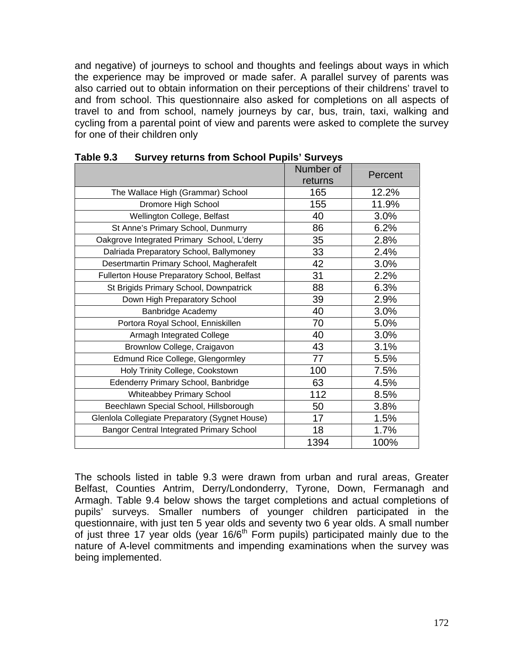and negative) of journeys to school and thoughts and feelings about ways in which the experience may be improved or made safer. A parallel survey of parents was also carried out to obtain information on their perceptions of their childrens' travel to and from school. This questionnaire also asked for completions on all aspects of travel to and from school, namely journeys by car, bus, train, taxi, walking and cycling from a parental point of view and parents were asked to complete the survey for one of their children only

|                                                 | Number of<br>returns | Percent |
|-------------------------------------------------|----------------------|---------|
| The Wallace High (Grammar) School               | 165                  | 12.2%   |
| Dromore High School                             | 155                  | 11.9%   |
| Wellington College, Belfast                     | 40                   | 3.0%    |
| St Anne's Primary School, Dunmurry              | 86                   | 6.2%    |
| Oakgrove Integrated Primary School, L'derry     | 35                   | 2.8%    |
| Dalriada Preparatory School, Ballymoney         | 33                   | 2.4%    |
| Desertmartin Primary School, Magherafelt        | 42                   | 3.0%    |
| Fullerton House Preparatory School, Belfast     | 31                   | 2.2%    |
| St Brigids Primary School, Downpatrick          | 88                   | 6.3%    |
| Down High Preparatory School                    | 39                   | 2.9%    |
| Banbridge Academy                               | 40                   | 3.0%    |
| Portora Royal School, Enniskillen               | 70                   | 5.0%    |
| Armagh Integrated College                       | 40                   | 3.0%    |
| Brownlow College, Craigavon                     | 43                   | 3.1%    |
| Edmund Rice College, Glengormley                | 77                   | 5.5%    |
| Holy Trinity College, Cookstown                 | 100                  | 7.5%    |
| Edenderry Primary School, Banbridge             | 63                   | 4.5%    |
| <b>Whiteabbey Primary School</b>                | 112                  | 8.5%    |
| Beechlawn Special School, Hillsborough          | 50                   | 3.8%    |
| Glenlola Collegiate Preparatory (Sygnet House)  | 17                   | 1.5%    |
| <b>Bangor Central Integrated Primary School</b> | 18                   | 1.7%    |
|                                                 | 1394                 | 100%    |

**Table 9.3 Survey returns from School Pupils' Surveys**

The schools listed in table 9.3 were drawn from urban and rural areas, Greater Belfast, Counties Antrim, Derry/Londonderry, Tyrone, Down, Fermanagh and Armagh. Table 9.4 below shows the target completions and actual completions of pupils' surveys. Smaller numbers of younger children participated in the questionnaire, with just ten 5 year olds and seventy two 6 year olds. A small number of just three 17 year olds (year  $16/6<sup>th</sup>$  Form pupils) participated mainly due to the nature of A-level commitments and impending examinations when the survey was being implemented.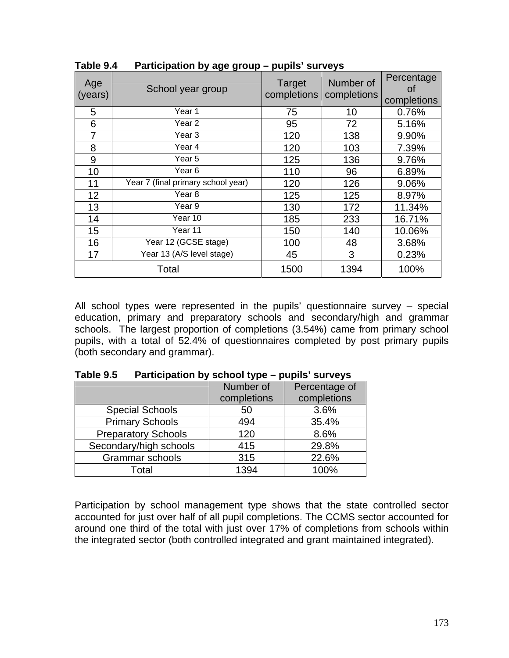| Age<br>(years) | School year group                  | Target<br>completions | Number of<br>completions | Percentage<br>Οf<br>completions |
|----------------|------------------------------------|-----------------------|--------------------------|---------------------------------|
| 5              | Year 1                             | 75                    | 10                       | 0.76%                           |
| 6              | Year 2                             | 95                    | 72                       | 5.16%                           |
| 7              | Year <sub>3</sub>                  | 120                   | 138                      | 9.90%                           |
| 8              | Year 4                             | 120                   | 103                      | 7.39%                           |
| 9              | Year 5                             | 125                   | 136                      | 9.76%                           |
| 10             | Year <sub>6</sub>                  | 110                   | 96                       | 6.89%                           |
| 11             | Year 7 (final primary school year) | 120                   | 126                      | 9.06%                           |
| 12             | Year <sub>8</sub>                  | 125                   | 125                      | 8.97%                           |
| 13             | Year 9                             | 130                   | 172                      | 11.34%                          |
| 14             | Year 10                            | 185                   | 233                      | 16.71%                          |
| 15             | Year 11                            | 150                   | 140                      | 10.06%                          |
| 16             | Year 12 (GCSE stage)               | 100                   | 48                       | 3.68%                           |
| 17             | Year 13 (A/S level stage)          | 45                    | 3                        | 0.23%                           |
|                | Total                              | 1500                  | 1394                     | 100%                            |

**Table 9.4 Participation by age group – pupils' surveys** 

All school types were represented in the pupils' questionnaire survey – special education, primary and preparatory schools and secondary/high and grammar schools. The largest proportion of completions (3.54%) came from primary school pupils, with a total of 52.4% of questionnaires completed by post primary pupils (both secondary and grammar).

| ייט טועוו<br><b>Helphandle by School type</b> | PUPIIJ JUI VUYJ |               |
|-----------------------------------------------|-----------------|---------------|
|                                               | Number of       | Percentage of |
|                                               | completions     | completions   |
| <b>Special Schools</b>                        | 50              | 3.6%          |
| <b>Primary Schools</b>                        | 494             | 35.4%         |
| <b>Preparatory Schools</b>                    | 120             | 8.6%          |
| Secondary/high schools                        | 415             | 29.8%         |
| Grammar schools                               | 315             | 22.6%         |
| Total                                         | 1394            | 100%          |

| Table 9.5 | Participation by school type – pupils' surveys |  |  |
|-----------|------------------------------------------------|--|--|
|           |                                                |  |  |

Participation by school management type shows that the state controlled sector accounted for just over half of all pupil completions. The CCMS sector accounted for around one third of the total with just over 17% of completions from schools within the integrated sector (both controlled integrated and grant maintained integrated).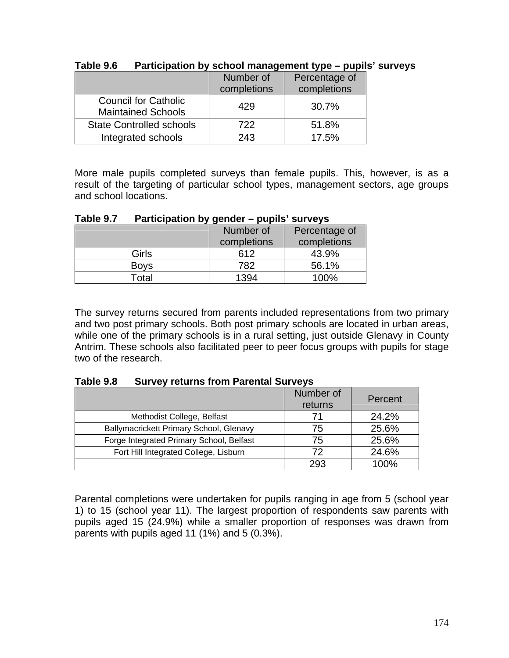|                                                          | Number of<br>completions | Percentage of<br>completions |
|----------------------------------------------------------|--------------------------|------------------------------|
| <b>Council for Catholic</b><br><b>Maintained Schools</b> | 429                      | 30.7%                        |
| <b>State Controlled schools</b>                          | 722                      | 51.8%                        |
| Integrated schools                                       | 243                      | 17.5%                        |

### **Table 9.6 Participation by school management type – pupils' surveys**

More male pupils completed surveys than female pupils. This, however, is as a result of the targeting of particular school types, management sectors, age groups and school locations.

| ז פוטוס ו- | <b>Helphanon by genuer</b><br>pupno ourv <del>o</del> yo |             |               |  |
|------------|----------------------------------------------------------|-------------|---------------|--|
|            |                                                          | Number of   | Percentage of |  |
|            |                                                          | completions | completions   |  |
|            | Girls                                                    | 612         | 43.9%         |  |
|            | <b>Boys</b>                                              | 782         | 56.1%         |  |
|            | $\mathsf{r}_\mathsf{otal}$                               | 1394        | 100%          |  |

# **Table 9.7 Participation by gender – pupils' surveys**

The survey returns secured from parents included representations from two primary and two post primary schools. Both post primary schools are located in urban areas, while one of the primary schools is in a rural setting, just outside Glenavy in County Antrim. These schools also facilitated peer to peer focus groups with pupils for stage two of the research.

| Table 9.8 |  | <b>Survey returns from Parental Surveys</b> |
|-----------|--|---------------------------------------------|
|-----------|--|---------------------------------------------|

|                                          | Number of<br>returns | Percent |
|------------------------------------------|----------------------|---------|
| Methodist College, Belfast               |                      | 24.2%   |
| Ballymacrickett Primary School, Glenavy  | 75                   | 25.6%   |
| Forge Integrated Primary School, Belfast | 75                   | 25.6%   |
| Fort Hill Integrated College, Lisburn    | 72                   | 24.6%   |
|                                          | 293                  | 100%    |

Parental completions were undertaken for pupils ranging in age from 5 (school year 1) to 15 (school year 11). The largest proportion of respondents saw parents with pupils aged 15 (24.9%) while a smaller proportion of responses was drawn from parents with pupils aged 11 (1%) and 5 (0.3%).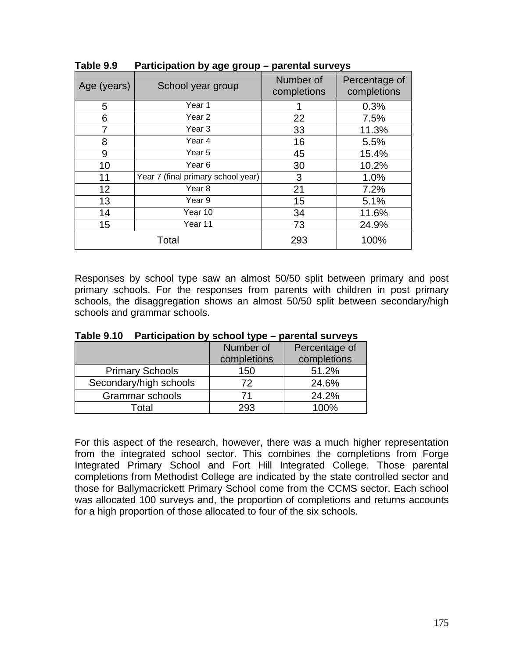| Age (years) | School year group                  | Number of<br>completions | Percentage of<br>completions |
|-------------|------------------------------------|--------------------------|------------------------------|
| 5           | Year 1                             |                          | 0.3%                         |
| 6           | Year 2                             | 22                       | 7.5%                         |
| 7           | Year 3                             | 33                       | 11.3%                        |
| 8           | Year 4                             | 16                       | 5.5%                         |
| 9           | Year 5                             | 45                       | 15.4%                        |
| 10          | Year <sub>6</sub>                  | 30                       | 10.2%                        |
| 11          | Year 7 (final primary school year) | 3                        | 1.0%                         |
| 12          | Year <sub>8</sub>                  | 21                       | 7.2%                         |
| 13          | Year 9                             | 15                       | 5.1%                         |
| 14          | Year 10                            | 34                       | 11.6%                        |
| 15          | Year 11                            | 73                       | 24.9%                        |
|             | Total                              | 293                      | 100%                         |

**Table 9.9 Participation by age group – parental surveys** 

Responses by school type saw an almost 50/50 split between primary and post primary schools. For the responses from parents with children in post primary schools, the disaggregation shows an almost 50/50 split between secondary/high schools and grammar schools.

|                        | Number of<br>completions | Percentage of<br>completions |
|------------------------|--------------------------|------------------------------|
| <b>Primary Schools</b> | 150                      | 51.2%                        |
| Secondary/high schools | 72                       | 24.6%                        |
| <b>Grammar schools</b> | 71                       | 24.2%                        |
| Total                  | 293                      | 100%                         |

**Table 9.10 Participation by school type – parental surveys** 

For this aspect of the research, however, there was a much higher representation from the integrated school sector. This combines the completions from Forge Integrated Primary School and Fort Hill Integrated College. Those parental completions from Methodist College are indicated by the state controlled sector and those for Ballymacrickett Primary School come from the CCMS sector. Each school was allocated 100 surveys and, the proportion of completions and returns accounts for a high proportion of those allocated to four of the six schools.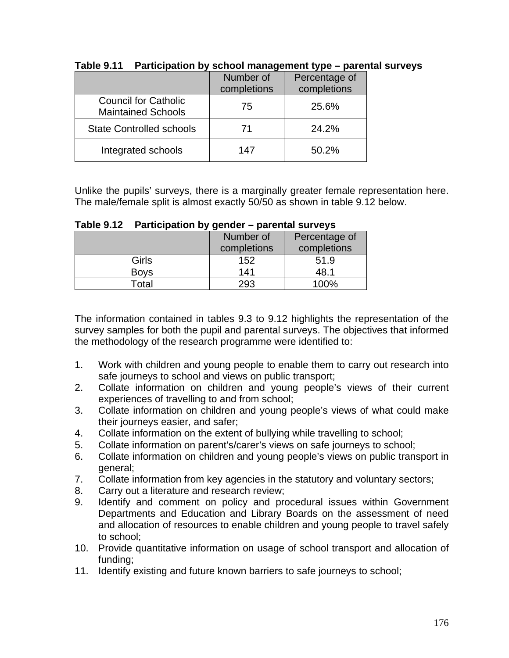|                                                          | Number of<br>completions | Percentage of<br>completions |
|----------------------------------------------------------|--------------------------|------------------------------|
| <b>Council for Catholic</b><br><b>Maintained Schools</b> | 75                       | 25.6%                        |
| <b>State Controlled schools</b>                          | 71                       | 24.2%                        |
| Integrated schools                                       | 147                      | 50.2%                        |

#### **Table 9.11 Participation by school management type – parental surveys**

Unlike the pupils' surveys, there is a marginally greater female representation here. The male/female split is almost exactly 50/50 as shown in table 9.12 below.

|             | Number of   | Percentage of |
|-------------|-------------|---------------|
|             | completions | completions   |
| Girls       | 152         | 51.9          |
| <b>Boys</b> | 141         | 48.1          |
| Total       | 293         | $100\%$       |

**Table 9.12 Participation by gender – parental surveys** 

The information contained in tables 9.3 to 9.12 highlights the representation of the survey samples for both the pupil and parental surveys. The objectives that informed the methodology of the research programme were identified to:

- 1. Work with children and young people to enable them to carry out research into safe journeys to school and views on public transport;
- 2. Collate information on children and young people's views of their current experiences of travelling to and from school;
- 3. Collate information on children and young people's views of what could make their journeys easier, and safer;
- 4. Collate information on the extent of bullying while travelling to school;
- 5. Collate information on parent's/carer's views on safe journeys to school;
- 6. Collate information on children and young people's views on public transport in general;
- 7. Collate information from key agencies in the statutory and voluntary sectors;
- 8. Carry out a literature and research review;
- 9. Identify and comment on policy and procedural issues within Government Departments and Education and Library Boards on the assessment of need and allocation of resources to enable children and young people to travel safely to school;
- 10. Provide quantitative information on usage of school transport and allocation of funding;
- 11. Identify existing and future known barriers to safe journeys to school;